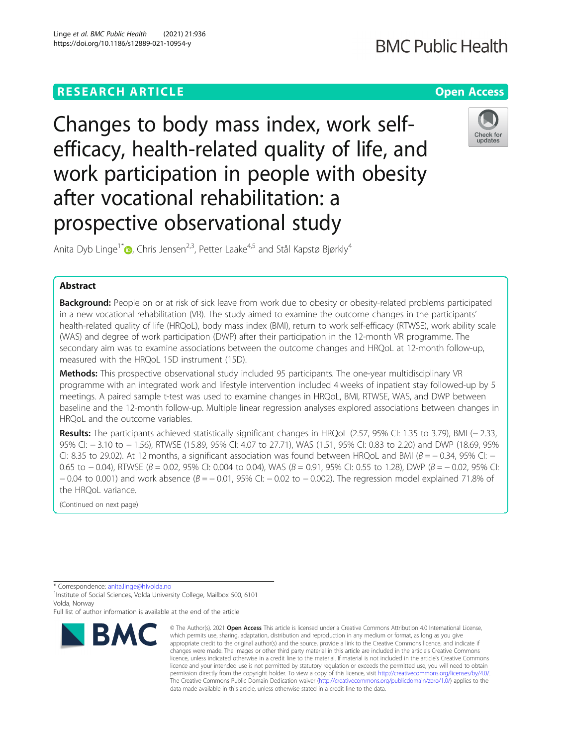# **RESEARCH ARTICLE Example 2014 12:30 The Contract of Contract ACCESS**

# **BMC Public Health**

Changes to body mass index, work selfefficacy, health-related quality of life, and work participation in people with obesity after vocational rehabilitation: a prospective observational study



Anita Dyb Linge<sup>1[\\*](http://orcid.org/0000-0001-5638-5497)</sup> (D<sub>a</sub>, Chris Jensen<sup>2,3</sup>, Petter Laake<sup>4,5</sup> and Stål Kapstø Bjørkly<sup>4</sup>

# Abstract

Background: People on or at risk of sick leave from work due to obesity or obesity-related problems participated in a new vocational rehabilitation (VR). The study aimed to examine the outcome changes in the participants' health-related quality of life (HRQoL), body mass index (BMI), return to work self-efficacy (RTWSE), work ability scale (WAS) and degree of work participation (DWP) after their participation in the 12-month VR programme. The secondary aim was to examine associations between the outcome changes and HRQoL at 12-month follow-up, measured with the HRQoL 15D instrument (15D).

Methods: This prospective observational study included 95 participants. The one-year multidisciplinary VR programme with an integrated work and lifestyle intervention included 4 weeks of inpatient stay followed-up by 5 meetings. A paired sample t-test was used to examine changes in HRQoL, BMI, RTWSE, WAS, and DWP between baseline and the 12-month follow-up. Multiple linear regression analyses explored associations between changes in HRQoL and the outcome variables.

Results: The participants achieved statistically significant changes in HRQoL (2.57, 95% CI: 1.35 to 3.79), BMI (−2.33, 95% CI: − 3.10 to − 1.56), RTWSE (15.89, 95% CI: 4.07 to 27.71), WAS (1.51, 95% CI: 0.83 to 2.20) and DWP (18.69, 95% CI: 8.35 to 29.02). At 12 months, a significant association was found between HRQoL and BMI (B = − 0.34, 95% CI: − 0.65 to  $-$  0.04), RTWSE ( $B = 0.02$ , 95% CI: 0.004 to 0.04), WAS ( $B = 0.91$ , 95% CI: 0.55 to 1.28), DWP ( $B = -0.02$ , 95% CI:  $-0.04$  to 0.001) and work absence ( $B = -0.01$ , 95% CI:  $-0.02$  to  $-0.002$ ). The regression model explained 71.8% of the HRQoL variance.

(Continued on next page)

\* Correspondence: [anita.linge@hivolda.no](mailto:anita.linge@hivolda.no) <sup>1</sup>

<sup>1</sup> Institute of Social Sciences, Volda University College, Mailbox 500, 6101 Volda, Norway

Full list of author information is available at the end of the article



<sup>©</sup> The Author(s), 2021 **Open Access** This article is licensed under a Creative Commons Attribution 4.0 International License, which permits use, sharing, adaptation, distribution and reproduction in any medium or format, as long as you give appropriate credit to the original author(s) and the source, provide a link to the Creative Commons licence, and indicate if changes were made. The images or other third party material in this article are included in the article's Creative Commons licence, unless indicated otherwise in a credit line to the material. If material is not included in the article's Creative Commons licence and your intended use is not permitted by statutory regulation or exceeds the permitted use, you will need to obtain permission directly from the copyright holder. To view a copy of this licence, visit [http://creativecommons.org/licenses/by/4.0/.](http://creativecommons.org/licenses/by/4.0/) The Creative Commons Public Domain Dedication waiver [\(http://creativecommons.org/publicdomain/zero/1.0/](http://creativecommons.org/publicdomain/zero/1.0/)) applies to the data made available in this article, unless otherwise stated in a credit line to the data.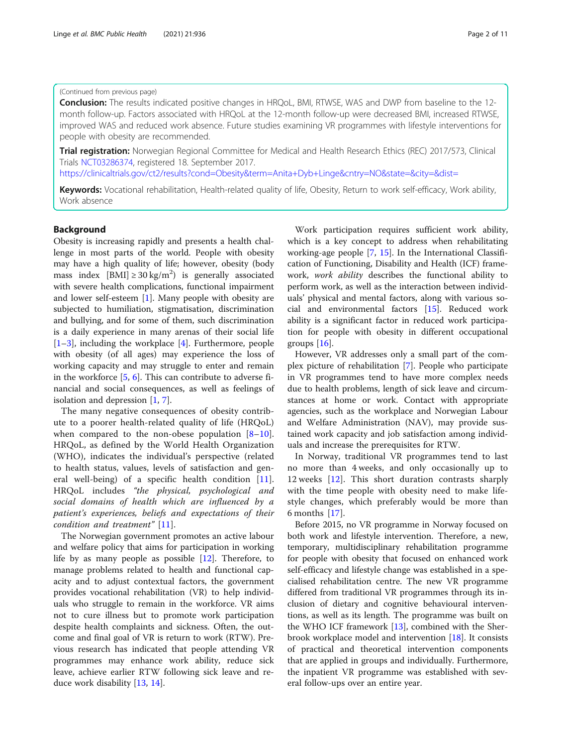# (Continued from previous page)

Conclusion: The results indicated positive changes in HRQoL, BMI, RTWSE, WAS and DWP from baseline to the 12month follow-up. Factors associated with HRQoL at the 12-month follow-up were decreased BMI, increased RTWSE, improved WAS and reduced work absence. Future studies examining VR programmes with lifestyle interventions for people with obesity are recommended.

**Trial registration:** Norwegian Regional Committee for Medical and Health Research Ethics (REC) 2017/573, Clinical Trials [NCT03286374,](https://clinicaltrials.gov/ct2/show/NCT03286374) registered 18. September 2017.

<https://clinicaltrials.gov/ct2/results?cond=Obesity&term=Anita+Dyb+Linge&cntry=NO&state=&city=&dist=>

Keywords: Vocational rehabilitation, Health-related quality of life, Obesity, Return to work self-efficacy, Work ability, Work absence

### Background

Obesity is increasing rapidly and presents a health challenge in most parts of the world. People with obesity may have a high quality of life; however, obesity (body mass index  $[BMI] \ge 30 \text{ kg/m}^2$  is generally associated with severe health complications, functional impairment and lower self-esteem [[1](#page-9-0)]. Many people with obesity are subjected to humiliation, stigmatisation, discrimination and bullying, and for some of them, such discrimination is a daily experience in many arenas of their social life [[1](#page-9-0)–[3\]](#page-9-0), including the workplace [[4\]](#page-9-0). Furthermore, people with obesity (of all ages) may experience the loss of working capacity and may struggle to enter and remain in the workforce [\[5](#page-9-0), [6](#page-9-0)]. This can contribute to adverse financial and social consequences, as well as feelings of isolation and depression [[1,](#page-9-0) [7\]](#page-9-0).

The many negative consequences of obesity contribute to a poorer health-related quality of life (HRQoL) when compared to the non-obese population  $[8-10]$  $[8-10]$  $[8-10]$  $[8-10]$  $[8-10]$ . HRQoL, as defined by the World Health Organization (WHO), indicates the individual's perspective (related to health status, values, levels of satisfaction and general well-being) of a specific health condition [[11](#page-9-0)]. HRQoL includes "the physical, psychological and social domains of health which are influenced by a patient's experiences, beliefs and expectations of their condition and treatment" [[11\]](#page-9-0).

The Norwegian government promotes an active labour and welfare policy that aims for participation in working life by as many people as possible [[12](#page-9-0)]. Therefore, to manage problems related to health and functional capacity and to adjust contextual factors, the government provides vocational rehabilitation (VR) to help individuals who struggle to remain in the workforce. VR aims not to cure illness but to promote work participation despite health complaints and sickness. Often, the outcome and final goal of VR is return to work (RTW). Previous research has indicated that people attending VR programmes may enhance work ability, reduce sick leave, achieve earlier RTW following sick leave and reduce work disability [[13,](#page-9-0) [14\]](#page-9-0).

Work participation requires sufficient work ability, which is a key concept to address when rehabilitating working-age people [[7,](#page-9-0) [15](#page-9-0)]. In the International Classification of Functioning, Disability and Health (ICF) framework, work ability describes the functional ability to perform work, as well as the interaction between individuals' physical and mental factors, along with various social and environmental factors [\[15\]](#page-9-0). Reduced work ability is a significant factor in reduced work participation for people with obesity in different occupational groups  $[16]$  $[16]$  $[16]$ .

However, VR addresses only a small part of the complex picture of rehabilitation [\[7](#page-9-0)]. People who participate in VR programmes tend to have more complex needs due to health problems, length of sick leave and circumstances at home or work. Contact with appropriate agencies, such as the workplace and Norwegian Labour and Welfare Administration (NAV), may provide sustained work capacity and job satisfaction among individuals and increase the prerequisites for RTW.

In Norway, traditional VR programmes tend to last no more than 4 weeks, and only occasionally up to 12 weeks [[12\]](#page-9-0). This short duration contrasts sharply with the time people with obesity need to make lifestyle changes, which preferably would be more than 6 months [\[17](#page-9-0)].

Before 2015, no VR programme in Norway focused on both work and lifestyle intervention. Therefore, a new, temporary, multidisciplinary rehabilitation programme for people with obesity that focused on enhanced work self-efficacy and lifestyle change was established in a specialised rehabilitation centre. The new VR programme differed from traditional VR programmes through its inclusion of dietary and cognitive behavioural interventions, as well as its length. The programme was built on the WHO ICF framework [[13](#page-9-0)], combined with the Sherbrook workplace model and intervention [[18\]](#page-9-0). It consists of practical and theoretical intervention components that are applied in groups and individually. Furthermore, the inpatient VR programme was established with several follow-ups over an entire year.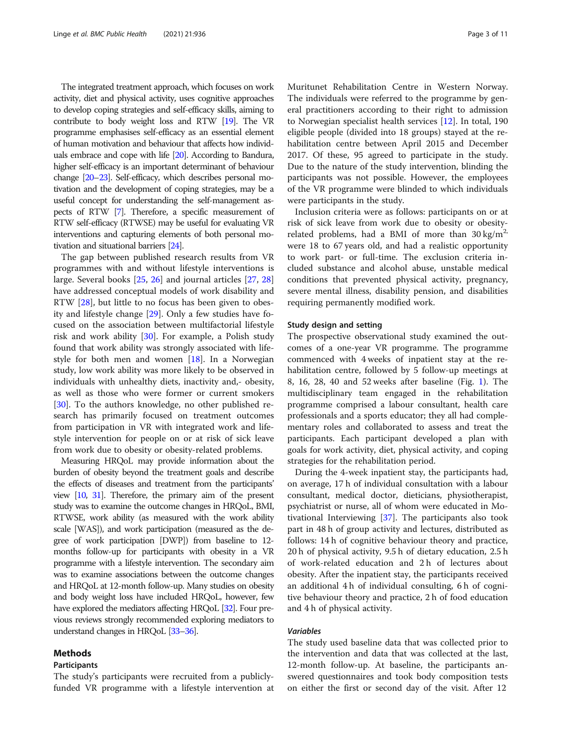The integrated treatment approach, which focuses on work activity, diet and physical activity, uses cognitive approaches to develop coping strategies and self-efficacy skills, aiming to contribute to body weight loss and RTW [\[19](#page-9-0)]. The VR programme emphasises self-efficacy as an essential element of human motivation and behaviour that affects how individuals embrace and cope with life [\[20\]](#page-9-0). According to Bandura, higher self-efficacy is an important determinant of behaviour change [\[20](#page-9-0)–[23](#page-9-0)]. Self-efficacy, which describes personal motivation and the development of coping strategies, may be a useful concept for understanding the self-management aspects of RTW [\[7](#page-9-0)]. Therefore, a specific measurement of RTW self-efficacy (RTWSE) may be useful for evaluating VR interventions and capturing elements of both personal motivation and situational barriers [\[24](#page-9-0)].

The gap between published research results from VR programmes with and without lifestyle interventions is large. Several books [[25](#page-9-0), [26\]](#page-9-0) and journal articles [\[27](#page-9-0), [28](#page-10-0)] have addressed conceptual models of work disability and RTW [[28](#page-10-0)], but little to no focus has been given to obesity and lifestyle change [[29\]](#page-10-0). Only a few studies have focused on the association between multifactorial lifestyle risk and work ability [[30](#page-10-0)]. For example, a Polish study found that work ability was strongly associated with lifestyle for both men and women [\[18](#page-9-0)]. In a Norwegian study, low work ability was more likely to be observed in individuals with unhealthy diets, inactivity and,- obesity, as well as those who were former or current smokers [[30\]](#page-10-0). To the authors knowledge, no other published research has primarily focused on treatment outcomes from participation in VR with integrated work and lifestyle intervention for people on or at risk of sick leave from work due to obesity or obesity-related problems.

Measuring HRQoL may provide information about the burden of obesity beyond the treatment goals and describe the effects of diseases and treatment from the participants' view [\[10,](#page-9-0) [31](#page-10-0)]. Therefore, the primary aim of the present study was to examine the outcome changes in HRQoL, BMI, RTWSE, work ability (as measured with the work ability scale [WAS]), and work participation (measured as the degree of work participation [DWP]) from baseline to 12 months follow-up for participants with obesity in a VR programme with a lifestyle intervention. The secondary aim was to examine associations between the outcome changes and HRQoL at 12-month follow-up. Many studies on obesity and body weight loss have included HRQoL, however, few have explored the mediators affecting HRQoL [[32\]](#page-10-0). Four previous reviews strongly recommended exploring mediators to understand changes in HRQoL [\[33](#page-10-0)–[36](#page-10-0)].

# Methods

# Participants

The study's participants were recruited from a publiclyfunded VR programme with a lifestyle intervention at

Muritunet Rehabilitation Centre in Western Norway. The individuals were referred to the programme by general practitioners according to their right to admission to Norwegian specialist health services [[12\]](#page-9-0). In total, 190 eligible people (divided into 18 groups) stayed at the rehabilitation centre between April 2015 and December 2017. Of these, 95 agreed to participate in the study. Due to the nature of the study intervention, blinding the participants was not possible. However, the employees of the VR programme were blinded to which individuals were participants in the study.

Inclusion criteria were as follows: participants on or at risk of sick leave from work due to obesity or obesityrelated problems, had a BMI of more than  $30 \text{ kg/m}^2$ , were 18 to 67 years old, and had a realistic opportunity to work part- or full-time. The exclusion criteria included substance and alcohol abuse, unstable medical conditions that prevented physical activity, pregnancy, severe mental illness, disability pension, and disabilities requiring permanently modified work.

# Study design and setting

The prospective observational study examined the outcomes of a one-year VR programme. The programme commenced with 4 weeks of inpatient stay at the rehabilitation centre, followed by 5 follow-up meetings at 8, 16, 28, 40 and 52 weeks after baseline (Fig. [1](#page-3-0)). The multidisciplinary team engaged in the rehabilitation programme comprised a labour consultant, health care professionals and a sports educator; they all had complementary roles and collaborated to assess and treat the participants. Each participant developed a plan with goals for work activity, diet, physical activity, and coping strategies for the rehabilitation period.

During the 4-week inpatient stay, the participants had, on average, 17 h of individual consultation with a labour consultant, medical doctor, dieticians, physiotherapist, psychiatrist or nurse, all of whom were educated in Motivational Interviewing [\[37\]](#page-10-0). The participants also took part in 48 h of group activity and lectures, distributed as follows: 14 h of cognitive behaviour theory and practice, 20 h of physical activity, 9.5 h of dietary education, 2.5 h of work-related education and 2 h of lectures about obesity. After the inpatient stay, the participants received an additional 4 h of individual consulting, 6 h of cognitive behaviour theory and practice, 2 h of food education and 4 h of physical activity.

#### Variables

The study used baseline data that was collected prior to the intervention and data that was collected at the last, 12-month follow-up. At baseline, the participants answered questionnaires and took body composition tests on either the first or second day of the visit. After 12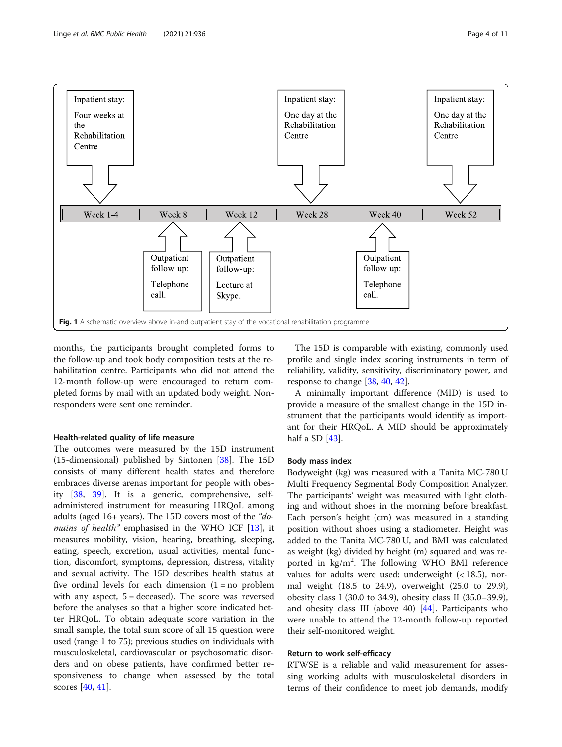

<span id="page-3-0"></span>

months, the participants brought completed forms to the follow-up and took body composition tests at the rehabilitation centre. Participants who did not attend the 12-month follow-up were encouraged to return completed forms by mail with an updated body weight. Nonresponders were sent one reminder.

#### Health-related quality of life measure

The outcomes were measured by the 15D instrument (15-dimensional) published by Sintonen [[38\]](#page-10-0). The 15D consists of many different health states and therefore embraces diverse arenas important for people with obesity [[38,](#page-10-0) [39\]](#page-10-0). It is a generic, comprehensive, selfadministered instrument for measuring HRQoL among adults (aged 16+ years). The 15D covers most of the "do*mains of health*" emphasised in the WHO ICF  $[13]$  $[13]$ , it measures mobility, vision, hearing, breathing, sleeping, eating, speech, excretion, usual activities, mental function, discomfort, symptoms, depression, distress, vitality and sexual activity. The 15D describes health status at five ordinal levels for each dimension  $(1 = no$  problem with any aspect, 5 = deceased). The score was reversed before the analyses so that a higher score indicated better HRQoL. To obtain adequate score variation in the small sample, the total sum score of all 15 question were used (range 1 to 75); previous studies on individuals with musculoskeletal, cardiovascular or psychosomatic disorders and on obese patients, have confirmed better responsiveness to change when assessed by the total scores [[40,](#page-10-0) [41\]](#page-10-0).

The 15D is comparable with existing, commonly used profile and single index scoring instruments in term of reliability, validity, sensitivity, discriminatory power, and response to change [\[38](#page-10-0), [40](#page-10-0), [42](#page-10-0)].

A minimally important difference (MID) is used to provide a measure of the smallest change in the 15D instrument that the participants would identify as important for their HRQoL. A MID should be approximately half a SD [\[43](#page-10-0)].

#### Body mass index

Bodyweight (kg) was measured with a Tanita MC-780 U Multi Frequency Segmental Body Composition Analyzer. The participants' weight was measured with light clothing and without shoes in the morning before breakfast. Each person's height (cm) was measured in a standing position without shoes using a stadiometer. Height was added to the Tanita MC-780 U, and BMI was calculated as weight (kg) divided by height (m) squared and was reported in kg/m<sup>2</sup>. The following WHO BMI reference values for adults were used: underweight  $($  < 18.5 $)$ , normal weight (18.5 to 24.9), overweight (25.0 to 29.9), obesity class I (30.0 to 34.9), obesity class II (35.0–39.9), and obesity class III (above 40) [\[44](#page-10-0)]. Participants who were unable to attend the 12-month follow-up reported their self-monitored weight.

# Return to work self-efficacy

RTWSE is a reliable and valid measurement for assessing working adults with musculoskeletal disorders in terms of their confidence to meet job demands, modify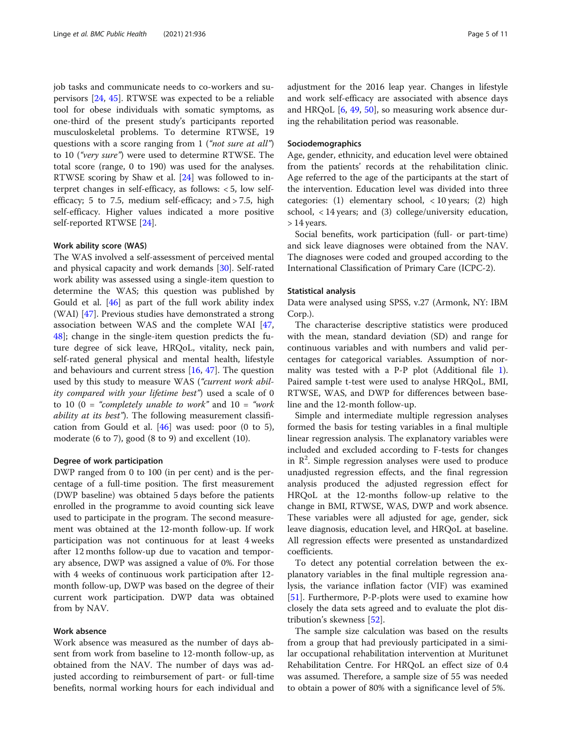job tasks and communicate needs to co-workers and supervisors [[24,](#page-9-0) [45](#page-10-0)]. RTWSE was expected to be a reliable tool for obese individuals with somatic symptoms, as one-third of the present study's participants reported musculoskeletal problems. To determine RTWSE, 19 questions with a score ranging from 1 ("*not sure at all*") to 10 ("very sure") were used to determine RTWSE. The total score (range, 0 to 190) was used for the analyses. RTWSE scoring by Shaw et al. [[24\]](#page-9-0) was followed to interpret changes in self-efficacy, as follows: < 5, low selfefficacy; 5 to 7.5, medium self-efficacy; and  $> 7.5$ , high self-efficacy. Higher values indicated a more positive self-reported RTWSE [[24\]](#page-9-0).

#### Work ability score (WAS)

The WAS involved a self-assessment of perceived mental and physical capacity and work demands [[30\]](#page-10-0). Self-rated work ability was assessed using a single-item question to determine the WAS; this question was published by Gould et al. [\[46](#page-10-0)] as part of the full work ability index (WAI) [\[47](#page-10-0)]. Previous studies have demonstrated a strong association between WAS and the complete WAI [[47](#page-10-0), [48\]](#page-10-0); change in the single-item question predicts the future degree of sick leave, HRQoL, vitality, neck pain, self-rated general physical and mental health, lifestyle and behaviours and current stress [[16](#page-9-0), [47\]](#page-10-0). The question used by this study to measure WAS ("current work ability compared with your lifetime best") used a scale of 0 to 10 (0 = "completely unable to work" and  $10 =$  "work" ability at its best"). The following measurement classification from Gould et al. [\[46](#page-10-0)] was used: poor (0 to 5), moderate (6 to 7), good (8 to 9) and excellent (10).

# Degree of work participation

DWP ranged from 0 to 100 (in per cent) and is the percentage of a full-time position. The first measurement (DWP baseline) was obtained 5 days before the patients enrolled in the programme to avoid counting sick leave used to participate in the program. The second measurement was obtained at the 12-month follow-up. If work participation was not continuous for at least 4 weeks after 12 months follow-up due to vacation and temporary absence, DWP was assigned a value of 0%. For those with 4 weeks of continuous work participation after 12 month follow-up, DWP was based on the degree of their current work participation. DWP data was obtained from by NAV.

# Work absence

Work absence was measured as the number of days absent from work from baseline to 12-month follow-up, as obtained from the NAV. The number of days was adjusted according to reimbursement of part- or full-time benefits, normal working hours for each individual and adjustment for the 2016 leap year. Changes in lifestyle and work self-efficacy are associated with absence days and HRQoL [\[6,](#page-9-0) [49](#page-10-0), [50](#page-10-0)], so measuring work absence during the rehabilitation period was reasonable.

### Sociodemographics

Age, gender, ethnicity, and education level were obtained from the patients' records at the rehabilitation clinic. Age referred to the age of the participants at the start of the intervention. Education level was divided into three categories: (1) elementary school, < 10 years; (2) high school, < 14 years; and (3) college/university education, > 14 years.

Social benefits, work participation (full- or part-time) and sick leave diagnoses were obtained from the NAV. The diagnoses were coded and grouped according to the International Classification of Primary Care (ICPC-2).

### Statistical analysis

Data were analysed using SPSS, v.27 (Armonk, NY: IBM Corp.).

The characterise descriptive statistics were produced with the mean, standard deviation (SD) and range for continuous variables and with numbers and valid percentages for categorical variables. Assumption of normality was tested with a P-P plot (Additional file [1](#page-8-0)). Paired sample t-test were used to analyse HRQoL, BMI, RTWSE, WAS, and DWP for differences between baseline and the 12-month follow-up.

Simple and intermediate multiple regression analyses formed the basis for testing variables in a final multiple linear regression analysis. The explanatory variables were included and excluded according to F-tests for changes in  $\mathbb{R}^2$ . Simple regression analyses were used to produce unadjusted regression effects, and the final regression analysis produced the adjusted regression effect for HRQoL at the 12-months follow-up relative to the change in BMI, RTWSE, WAS, DWP and work absence. These variables were all adjusted for age, gender, sick leave diagnosis, education level, and HRQoL at baseline. All regression effects were presented as unstandardized coefficients.

To detect any potential correlation between the explanatory variables in the final multiple regression analysis, the variance inflation factor (VIF) was examined [[51\]](#page-10-0). Furthermore, P-P-plots were used to examine how closely the data sets agreed and to evaluate the plot distribution's skewness [[52\]](#page-10-0).

The sample size calculation was based on the results from a group that had previously participated in a similar occupational rehabilitation intervention at Muritunet Rehabilitation Centre. For HRQoL an effect size of 0.4 was assumed. Therefore, a sample size of 55 was needed to obtain a power of 80% with a significance level of 5%.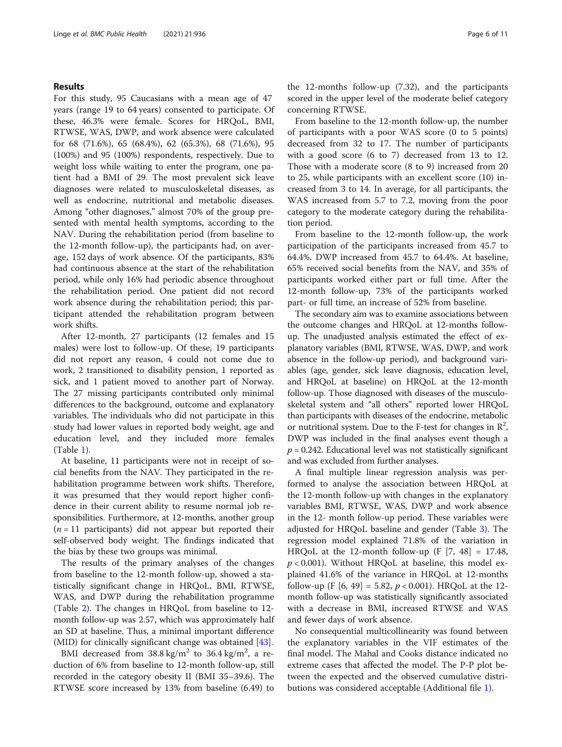# Results

For this study, 95 Caucasians with a mean age of 47 years (range 19 to 64 years) consented to participate. Of these, 46.3% were female. Scores for HRQoL, BMI, RTWSE, WAS, DWP, and work absence were calculated for 68 (71.6%), 65 (68.4%), 62 (65.3%), 68 (71.6%), 95 (100%) and 95 (100%) respondents, respectively. Due to weight loss while waiting to enter the program, one patient had a BMI of 29. The most prevalent sick leave diagnoses were related to musculoskeletal diseases, as well as endocrine, nutritional and metabolic diseases. Among "other diagnoses," almost 70% of the group presented with mental health symptoms, according to the NAV. During the rehabilitation period (from baseline to the 12-month follow-up), the participants had, on average, 152 days of work absence. Of the participants, 83% had continuous absence at the start of the rehabilitation period, while only 16% had periodic absence throughout the rehabilitation period. One patient did not record work absence during the rehabilitation period; this participant attended the rehabilitation program between work shifts.

After 12-month, 27 participants (12 females and 15 males) were lost to follow-up. Of these, 19 participants did not report any reason, 4 could not come due to work, 2 transitioned to disability pension, 1 reported as sick, and 1 patient moved to another part of Norway. The 27 missing participants contributed only minimal differences to the background, outcome and explanatory variables. The individuals who did not participate in this study had lower values in reported body weight, age and education level, and they included more females (Table [1\)](#page-6-0).

At baseline, 11 participants were not in receipt of social benefits from the NAV. They participated in the rehabilitation programme between work shifts. Therefore, it was presumed that they would report higher confidence in their current ability to resume normal job responsibilities. Furthermore, at 12-months, another group  $(n = 11$  participants) did not appear but reported their self-observed body weight. The findings indicated that the bias by these two groups was minimal.

The results of the primary analyses of the changes from baseline to the 12-month follow-up, showed a statistically significant change in HRQoL, BMI, RTWSE, WAS, and DWP during the rehabilitation programme (Table [2\)](#page-6-0). The changes in HRQoL from baseline to 12 month follow-up was 2.57, which was approximately half an SD at baseline. Thus, a minimal important difference (MID) for clinically significant change was obtained [[43](#page-10-0)].

BMI decreased from  $38.8 \text{ kg/m}^2$  to  $36.4 \text{ kg/m}^2$ , a reduction of 6% from baseline to 12-month follow-up, still recorded in the category obesity II (BMI 35–39.6). The RTWSE score increased by 13% from baseline (6.49) to

the 12-months follow-up (7.32), and the participants scored in the upper level of the moderate belief category concerning RTWSE.

From baseline to the 12-month follow-up, the number of participants with a poor WAS score (0 to 5 points) decreased from 32 to 17. The number of participants with a good score (6 to 7) decreased from 13 to 12. Those with a moderate score (8 to 9) increased from 20 to 25, while participants with an excellent score (10) increased from 3 to 14. In average, for all participants, the WAS increased from 5.7 to 7.2, moving from the poor category to the moderate category during the rehabilitation period.

From baseline to the 12-month follow-up, the work participation of the participants increased from 45.7 to 64.4%. DWP increased from 45.7 to 64.4%. At baseline, 65% received social benefits from the NAV, and 35% of participants worked either part or full time. After the 12-month follow-up, 73% of the participants worked part- or full time, an increase of 52% from baseline.

The secondary aim was to examine associations between the outcome changes and HRQoL at 12-months followup. The unadjusted analysis estimated the effect of explanatory variables (BMI, RTWSE, WAS, DWP, and work absence in the follow-up period), and background variables (age, gender, sick leave diagnosis, education level, and HRQoL at baseline) on HRQoL at the 12-month follow-up. Those diagnosed with diseases of the musculoskeletal system and "all others" reported lower HRQoL than participants with diseases of the endocrine, metabolic or nutritional system. Due to the F-test for changes in  $\mathbb{R}^2$ , DWP was included in the final analyses event though a  $p = 0.242$ . Educational level was not statistically significant and was excluded from further analyses.

A final multiple linear regression analysis was performed to analyse the association between HRQoL at the 12-month follow-up with changes in the explanatory variables BMI, RTWSE, WAS, DWP and work absence in the 12- month follow-up period. These variables were adjusted for HRQoL baseline and gender (Table [3](#page-7-0)). The regression model explained 71.8% of the variation in HRQoL at the 12-month follow-up  $(F [7, 48] = 17.48,$  $p < 0.001$ ). Without HRQoL at baseline, this model explained 41.6% of the variance in HRQoL at 12-months follow-up (F [6, 49] = 5.82,  $p < 0.001$ ). HRQoL at the 12month follow-up was statistically significantly associated with a decrease in BMI, increased RTWSE and WAS and fewer days of work absence.

No consequential multicollinearity was found between the explanatory variables in the VIF estimates of the final model. The Mahal and Cooks distance indicated no extreme cases that affected the model. The P-P plot between the expected and the observed cumulative distributions was considered acceptable (Additional file [1](#page-8-0)).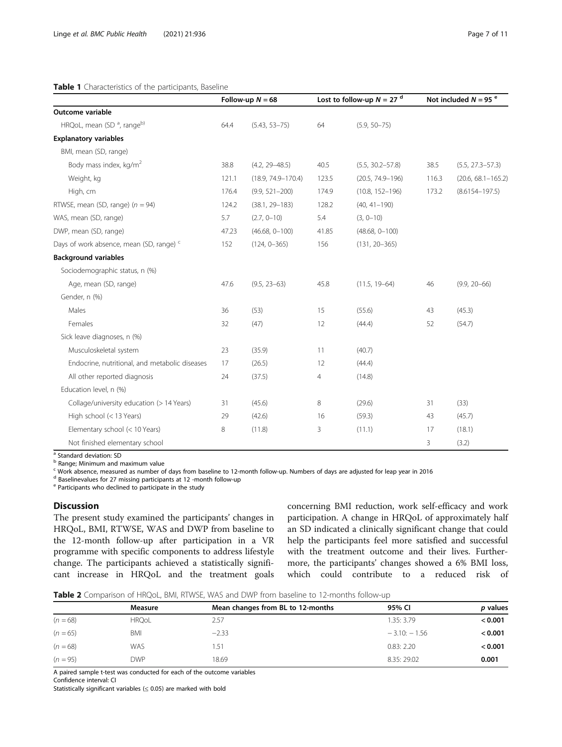# <span id="page-6-0"></span>Table 1 Characteristics of the participants, Baseline

|                                                     | Follow-up $N = 68$ |                        | Lost to follow-up $N = 27$ <sup>d</sup> |                      | Not included $N = 95$ <sup>e</sup> |                        |  |  |
|-----------------------------------------------------|--------------------|------------------------|-----------------------------------------|----------------------|------------------------------------|------------------------|--|--|
| Outcome variable                                    |                    |                        |                                         |                      |                                    |                        |  |  |
| HRQoL, mean (SD <sup>a</sup> , rangeb)              | 64.4               | $(5.43, 53 - 75)$      | 64                                      | $(5.9, 50 - 75)$     |                                    |                        |  |  |
| <b>Explanatory variables</b>                        |                    |                        |                                         |                      |                                    |                        |  |  |
| BMI, mean (SD, range)                               |                    |                        |                                         |                      |                                    |                        |  |  |
| Body mass index, kg/m <sup>2</sup>                  | 38.8               | $(4.2, 29 - 48.5)$     | 40.5                                    | $(5.5, 30.2 - 57.8)$ | 38.5                               | $(5.5, 27.3 - 57.3)$   |  |  |
| Weight, kg                                          | 121.1              | $(18.9, 74.9 - 170.4)$ | 123.5                                   | $(20.5, 74.9 - 196)$ | 116.3                              | $(20.6, 68.1 - 165.2)$ |  |  |
| High, cm                                            | 176.4              | $(9.9, 521 - 200)$     | 174.9                                   | $(10.8, 152 - 196)$  | 173.2                              | $(8.6154 - 197.5)$     |  |  |
| RTWSE, mean (SD, range) $(n = 94)$                  | 124.2              | $(38.1, 29 - 183)$     | 128.2                                   | $(40, 41 - 190)$     |                                    |                        |  |  |
| WAS, mean (SD, range)                               | 5.7                | $(2.7, 0 - 10)$        | 5.4                                     | $(3, 0 - 10)$        |                                    |                        |  |  |
| DWP, mean (SD, range)                               | 47.23              | $(46.68, 0 - 100)$     | 41.85                                   | $(48.68, 0 - 100)$   |                                    |                        |  |  |
| Days of work absence, mean (SD, range) <sup>c</sup> | 152                | $(124, 0 - 365)$       | 156                                     | $(131, 20 - 365)$    |                                    |                        |  |  |
| <b>Background variables</b>                         |                    |                        |                                         |                      |                                    |                        |  |  |
| Sociodemographic status, n (%)                      |                    |                        |                                         |                      |                                    |                        |  |  |
| Age, mean (SD, range)                               | 47.6               | $(9.5, 23 - 63)$       | 45.8                                    | $(11.5, 19-64)$      | 46                                 | $(9.9, 20 - 66)$       |  |  |
| Gender, n (%)                                       |                    |                        |                                         |                      |                                    |                        |  |  |
| Males                                               | 36                 | (53)                   | 15                                      | (55.6)               | 43                                 | (45.3)                 |  |  |
| Females                                             | 32                 | (47)                   | 12                                      | (44.4)               | 52                                 | (54.7)                 |  |  |
| Sick leave diagnoses, n (%)                         |                    |                        |                                         |                      |                                    |                        |  |  |
| Musculoskeletal system                              | 23                 | (35.9)                 | 11                                      | (40.7)               |                                    |                        |  |  |
| Endocrine, nutritional, and metabolic diseases      | 17                 | (26.5)                 | 12                                      | (44.4)               |                                    |                        |  |  |
| All other reported diagnosis                        | 24                 | (37.5)                 | $\overline{4}$                          | (14.8)               |                                    |                        |  |  |
| Education level, n (%)                              |                    |                        |                                         |                      |                                    |                        |  |  |
| Collage/university education (> 14 Years)           | 31                 | (45.6)                 | 8                                       | (29.6)               | 31                                 | (33)                   |  |  |
| High school (< 13 Years)                            | 29                 | (42.6)                 | 16                                      | (59.3)               | 43                                 | (45.7)                 |  |  |
| Elementary school (< 10 Years)                      | 8                  | (11.8)                 | 3                                       | (11.1)               | 17                                 | (18.1)                 |  |  |
| Not finished elementary school                      |                    |                        |                                         |                      | 3                                  | (3.2)                  |  |  |

<sup>a</sup> Standard deviation: SD

<sup>b</sup> Range; Minimum and maximum value

<sup>c</sup> Work absence, measured as number of days from baseline to 12-month follow-up. Numbers of days are adjusted for leap year in 2016

<sup>d</sup> Baselinevalues for 27 missing participants at 12 -month follow-up

<sup>e</sup> Participants who declined to participate in the study

# Discussion

The present study examined the participants' changes in HRQoL, BMI, RTWSE, WAS and DWP from baseline to the 12-month follow-up after participation in a VR programme with specific components to address lifestyle change. The participants achieved a statistically significant increase in HRQoL and the treatment goals

concerning BMI reduction, work self-efficacy and work participation. A change in HRQoL of approximately half an SD indicated a clinically significant change that could help the participants feel more satisfied and successful with the treatment outcome and their lives. Furthermore, the participants' changes showed a 6% BMI loss, which could contribute to a reduced risk of

|  |  | <b>Table 2</b> Comparison of HRQoL, BMI, RTWSE, WAS and DWP from baseline to 12-months follow-up |
|--|--|--------------------------------------------------------------------------------------------------|
|--|--|--------------------------------------------------------------------------------------------------|

|            | Measure      | Mean changes from BL to 12-months | 95% CI        | p values |
|------------|--------------|-----------------------------------|---------------|----------|
| $(n = 68)$ | <b>HRQoL</b> | 2.57                              | 1.35: 3.79    | < 0.001  |
| $(n = 65)$ | BMI          | $-2.33$                           | $-3.10:-1.56$ | < 0.001  |
| $(n = 68)$ | <b>WAS</b>   | .51                               | 0.83:2.20     | < 0.001  |
| $(n = 95)$ | <b>DWP</b>   | 18.69                             | 8.35: 29.02   | 0.001    |

A paired sample t-test was conducted for each of the outcome variables

Confidence interval: CI

Statistically significant variables  $(\leq 0.05)$  are marked with bold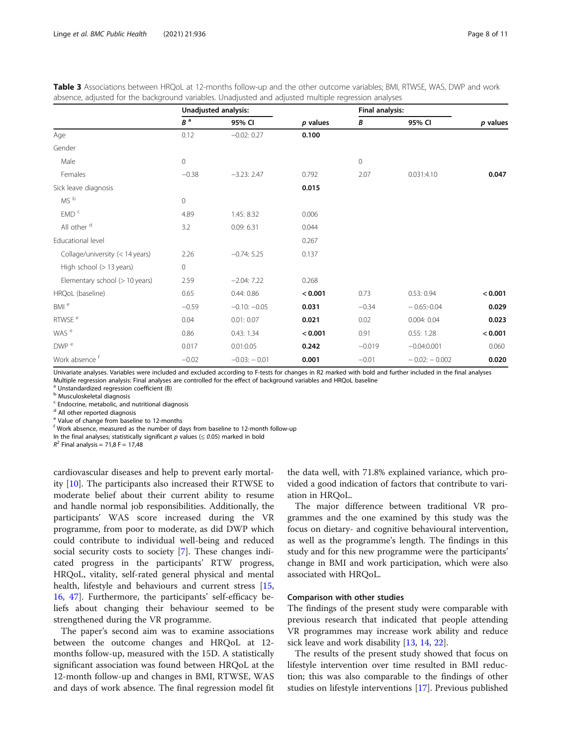|                                 |                | Unadjusted analysis: |          | Final analysis: |                 |            |
|---------------------------------|----------------|----------------------|----------|-----------------|-----------------|------------|
|                                 | $B^a$          | 95% CI               | p values | В               | 95% CI          | $p$ values |
| Age                             | 0.12           | $-0.02:0.27$         | 0.100    |                 |                 |            |
| Gender                          |                |                      |          |                 |                 |            |
| Male                            | $\overline{0}$ |                      |          | $\mathbf 0$     |                 |            |
| Females                         | $-0.38$        | $-3.23: 2.47$        | 0.792    | 2.07            | 0.031:4.10      | 0.047      |
| Sick leave diagnosis            |                |                      | 0.015    |                 |                 |            |
| MS <sup>b</sup>                 | $\overline{0}$ |                      |          |                 |                 |            |
| EMD <sup>c</sup>                | 4.89           | 1.45: 8.32           | 0.006    |                 |                 |            |
| All other <sup>d</sup>          | 3.2            | 0.09:6.31            | 0.044    |                 |                 |            |
| Educational level               |                |                      | 0.267    |                 |                 |            |
| Collage/university (< 14 years) | 2.26           | $-0.74: 5.25$        | 0.137    |                 |                 |            |
| High school (> 13 years)        | $\mathbf 0$    |                      |          |                 |                 |            |
| Elementary school (> 10 years)  | 2.59           | $-2.04:7.22$         | 0.268    |                 |                 |            |
| HRQoL (baseline)                | 0.65           | 0.44:0.86            | < 0.001  | 0.73            | 0.53:0.94       | < 0.001    |
| BMI <sup>e</sup>                | $-0.59$        | $-0.10: -0.05$       | 0.031    | $-0.34$         | $-0.65 - 0.04$  | 0.029      |
| RTWSE <sup>e</sup>              | 0.04           | 0.01:0.07            | 0.021    | 0.02            | 0.004:0.04      | 0.023      |
| WAS <sup>e</sup>                | 0.86           | 0.43:1.34            | < 0.001  | 0.91            | 0.55:1.28       | < 0.001    |
| DWP <sup>e</sup>                | 0.017          | 0.01:0.05            | 0.242    | $-0.019$        | $-0.04:0.001$   | 0.060      |
| Work absence <sup>t</sup>       | $-0.02$        | $-0.03: -0.01$       | 0.001    | $-0.01$         | $-0.02: -0.002$ | 0.020      |

<span id="page-7-0"></span>

|  | Table 3 Associations between HROoL at 12-months follow-up and the other outcome variables: BMI. RTWSE. WAS. DWP and work |  |  |  |  |  |  |
|--|--------------------------------------------------------------------------------------------------------------------------|--|--|--|--|--|--|
|  | absence, adjusted for the background variables. Unadjusted and adjusted multiple regression analyses                     |  |  |  |  |  |  |

Univariate analyses. Variables were included and excluded according to F-tests for changes in R2 marked with bold and further included in the final analyses Multiple regression analysis: Final analyses are controlled for the effect of background variables and HRQoL baseline

Unstandardized regression coefficient (B)

<sup>b</sup> Musculoskeletal diagnosis

 $c$  Endocrine, metabolic, and nutritional diagnosis

<sup>d</sup> All other reported diagnosis

<sup>e</sup> Value of change from baseline to 12-months

<sup>f</sup> Work absence, measured as the number of days from baseline to 12-month follow-up

In the final analyses; statistically significant p values ( $\leq$  0.05) marked in bold

 $R^2$  Final analysis = 71,8 F = 17,48

cardiovascular diseases and help to prevent early mortality [\[10](#page-9-0)]. The participants also increased their RTWSE to moderate belief about their current ability to resume and handle normal job responsibilities. Additionally, the participants' WAS score increased during the VR programme, from poor to moderate, as did DWP which could contribute to individual well-being and reduced social security costs to society [[7](#page-9-0)]. These changes indicated progress in the participants' RTW progress, HRQoL, vitality, self-rated general physical and mental health, lifestyle and behaviours and current stress [[15](#page-9-0), [16,](#page-9-0) [47](#page-10-0)]. Furthermore, the participants' self-efficacy beliefs about changing their behaviour seemed to be strengthened during the VR programme.

The paper's second aim was to examine associations between the outcome changes and HRQoL at 12 months follow-up, measured with the 15D. A statistically significant association was found between HRQoL at the 12-month follow-up and changes in BMI, RTWSE, WAS and days of work absence. The final regression model fit the data well, with 71.8% explained variance, which provided a good indication of factors that contribute to variation in HRQoL.

The major difference between traditional VR programmes and the one examined by this study was the focus on dietary- and cognitive behavioural intervention, as well as the programme's length. The findings in this study and for this new programme were the participants' change in BMI and work participation, which were also associated with HRQoL.

# Comparison with other studies

The findings of the present study were comparable with previous research that indicated that people attending VR programmes may increase work ability and reduce sick leave and work disability [\[13](#page-9-0), [14](#page-9-0), [22\]](#page-9-0).

The results of the present study showed that focus on lifestyle intervention over time resulted in BMI reduction; this was also comparable to the findings of other studies on lifestyle interventions [\[17\]](#page-9-0). Previous published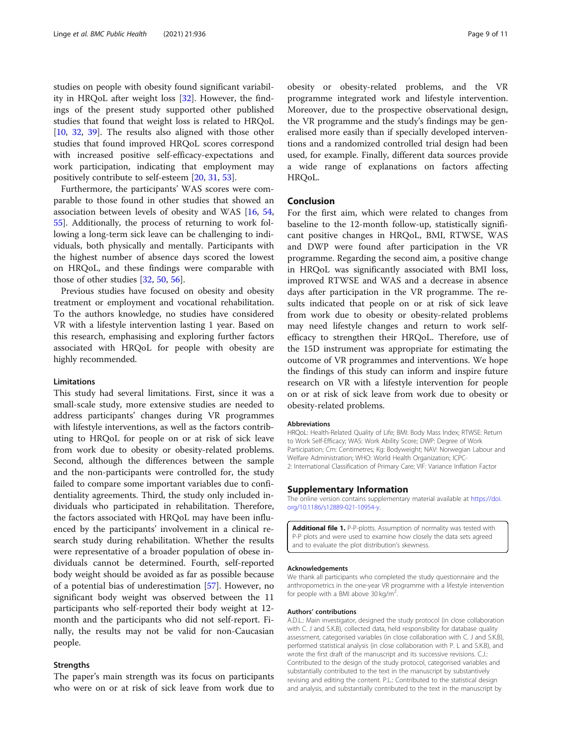<span id="page-8-0"></span>studies on people with obesity found significant variability in HRQoL after weight loss [\[32\]](#page-10-0). However, the findings of the present study supported other published studies that found that weight loss is related to HRQoL [[10,](#page-9-0) [32](#page-10-0), [39](#page-10-0)]. The results also aligned with those other studies that found improved HRQoL scores correspond with increased positive self-efficacy-expectations and work participation, indicating that employment may positively contribute to self-esteem [\[20,](#page-9-0) [31,](#page-10-0) [53\]](#page-10-0).

Furthermore, the participants' WAS scores were comparable to those found in other studies that showed an association between levels of obesity and WAS [[16](#page-9-0), [54](#page-10-0), [55\]](#page-10-0). Additionally, the process of returning to work following a long-term sick leave can be challenging to individuals, both physically and mentally. Participants with the highest number of absence days scored the lowest on HRQoL, and these findings were comparable with those of other studies [\[32](#page-10-0), [50](#page-10-0), [56\]](#page-10-0).

Previous studies have focused on obesity and obesity treatment or employment and vocational rehabilitation. To the authors knowledge, no studies have considered VR with a lifestyle intervention lasting 1 year. Based on this research, emphasising and exploring further factors associated with HRQoL for people with obesity are highly recommended.

# Limitations

This study had several limitations. First, since it was a small-scale study, more extensive studies are needed to address participants' changes during VR programmes with lifestyle interventions, as well as the factors contributing to HRQoL for people on or at risk of sick leave from work due to obesity or obesity-related problems. Second, although the differences between the sample and the non-participants were controlled for, the study failed to compare some important variables due to confidentiality agreements. Third, the study only included individuals who participated in rehabilitation. Therefore, the factors associated with HRQoL may have been influenced by the participants' involvement in a clinical research study during rehabilitation. Whether the results were representative of a broader population of obese individuals cannot be determined. Fourth, self-reported body weight should be avoided as far as possible because of a potential bias of underestimation [\[57](#page-10-0)]. However, no significant body weight was observed between the 11 participants who self-reported their body weight at 12 month and the participants who did not self-report. Finally, the results may not be valid for non-Caucasian people.

# Strengths

The paper's main strength was its focus on participants who were on or at risk of sick leave from work due to

obesity or obesity-related problems, and the VR programme integrated work and lifestyle intervention. Moreover, due to the prospective observational design, the VR programme and the study's findings may be generalised more easily than if specially developed interventions and a randomized controlled trial design had been used, for example. Finally, different data sources provide a wide range of explanations on factors affecting HRQoL.

# Conclusion

For the first aim, which were related to changes from baseline to the 12-month follow-up, statistically significant positive changes in HRQoL, BMI, RTWSE, WAS and DWP were found after participation in the VR programme. Regarding the second aim, a positive change in HRQoL was significantly associated with BMI loss, improved RTWSE and WAS and a decrease in absence days after participation in the VR programme. The results indicated that people on or at risk of sick leave from work due to obesity or obesity-related problems may need lifestyle changes and return to work selfefficacy to strengthen their HRQoL. Therefore, use of the 15D instrument was appropriate for estimating the outcome of VR programmes and interventions. We hope the findings of this study can inform and inspire future research on VR with a lifestyle intervention for people on or at risk of sick leave from work due to obesity or obesity-related problems.

#### Abbreviations

HRQoL: Health-Related Quality of Life; BMI: Body Mass Index; RTWSE: Return to Work Self-Efficacy; WAS: Work Ability Score; DWP: Degree of Work Participation; Cm: Centimetres; Kg: Bodyweight; NAV: Norwegian Labour and Welfare Administration; WHO: World Health Organization; ICPC-2: International Classification of Primary Care; VIF: Variance Inflation Factor

# Supplementary Information

The online version contains supplementary material available at [https://doi.](https://doi.org/10.1186/s12889-021-10954-y) [org/10.1186/s12889-021-10954-y](https://doi.org/10.1186/s12889-021-10954-y).

Additional file 1. P-P-plotts. Assumption of normality was tested with P-P plots and were used to examine how closely the data sets agreed and to evaluate the plot distribution's skewness.

#### Acknowledgements

We thank all participants who completed the study questionnaire and the anthropometrics in the one-year VR programme with a lifestyle intervention for people with a BMI above 30 kg/m<sup>2</sup>. .

#### Authors' contributions

A.D.L.: Main investigator, designed the study protocol (in close collaboration with C. J and S.K.B), collected data, held responsibility for database quality assessment, categorised variables (in close collaboration with C. J and S.K.B), performed statistical analysis (in close collaboration with P. L and S.K.B), and wrote the first draft of the manuscript and its successive revisions. C.J.: Contributed to the design of the study protocol, categorised variables and substantially contributed to the text in the manuscript by substantively revising and editing the content. P.L.: Contributed to the statistical design and analysis, and substantially contributed to the text in the manuscript by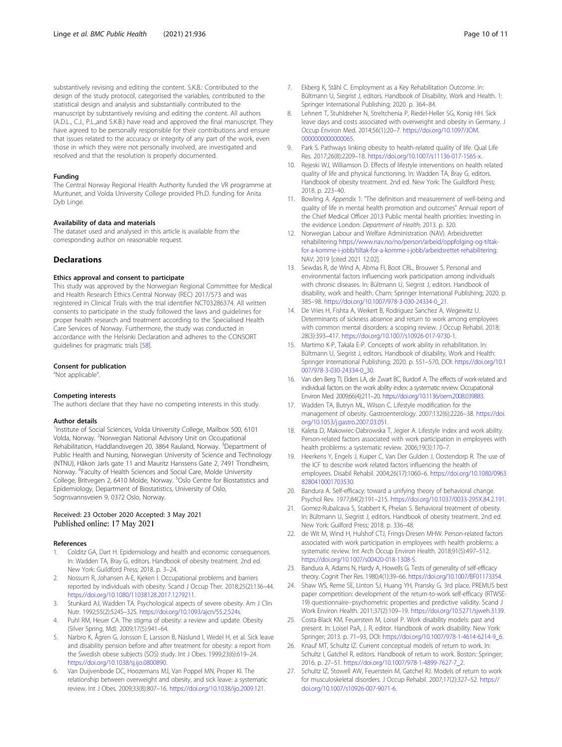<span id="page-9-0"></span>substantively revising and editing the content. S.K.B.: Contributed to the design of the study protocol, categorised the variables, contributed to the statistical design and analysis and substantially contributed to the manuscript by substantively revising and editing the content. All authors (A.D.L., C.J., P.L.,and S.K.B.) have read and approved the final manuscript. They have agreed to be personally responsible for their contributions and ensure that issues related to the accuracy or integrity of any part of the work, even those in which they were not personally involved, are investigated and resolved and that the resolution is properly documented.

#### Funding

The Central Norway Regional Health Authority funded the VR programme at Muritunet, and Volda University College provided Ph.D. funding for Anita Dyb Linge.

#### Availability of data and materials

The dataset used and analysed in this article is available from the corresponding author on reasonable request.

# **Declarations**

#### Ethics approval and consent to participate

This study was approved by the Norwegian Regional Committee for Medical and Health Research Ethics Central Norway (REC) 2017/573 and was registered in Clinical Trials with the trial identifier NCT03286374. All written consents to participate in the study followed the laws and guidelines for proper health research and treatment according to the Specialised Health Care Services of Norway. Furthermore, the study was conducted in accordance with the Helsinki Declaration and adheres to the CONSORT guidelines for pragmatic trials [\[58\]](#page-10-0).

#### Consent for publication

"Not applicable".

#### Competing interests

The authors declare that they have no competing interests in this study.

#### Author details

<sup>1</sup>Institute of Social Sciences, Volda University College, Mailbox 500, 6101 Volda, Norway. <sup>2</sup>Norwegian National Advisory Unit on Occupational Rehabilitation, Haddlandsvegen 20, 3864 Rauland, Norway. <sup>3</sup>Department of Public Health and Nursing, Norwegian University of Science and Technology (NTNU), Håkon Jarls gate 11 and Mauritz Hanssens Gate 2, 7491 Trondheim, Norway. <sup>4</sup> Faculty of Health Sciences and Social Care, Molde University College, Britvegen 2, 6410 Molde, Norway. <sup>5</sup>Oslo Centre for Biostatistics and Epidemiology, Department of Biostatistics, University of Oslo, Sognsvannsveien 9, 0372 Oslo, Norway.

# Received: 23 October 2020 Accepted: 3 May 2021 Published online: 17 May 2021

#### References

- 1. Colditz GA, Dart H. Epidemiology and health and economic consequences. In: Wadden TA, Bray G, editors. Handbook of obesity treatment. 2nd ed. New York: Guildford Press; 2018. p. 3–24.
- 2. Nossum R, Johansen A-E, Kjeken I. Occupational problems and barriers reported by individuals with obesity. Scand J Occup Ther. 2018;25(2):136–44. <https://doi.org/10.1080/11038128.2017.1279211>.
- 3. Stunkard AJ, Wadden TA. Psychological aspects of severe obesity. Am J Clin Nutr. 1992;55(2):524S–32S. [https://doi.org/10.1093/ajcn/55.2.524s.](https://doi.org/10.1093/ajcn/55.2.524s)
- 4. Puhl RM, Heuer CA. The stigma of obesity: a review and update. Obesity (Silver Spring, Md). 2009;17(5):941–64.
- 5. Narbro K, Ågren G, Jonsson E, Larsson B, Näslund I, Wedel H, et al. Sick leave and disability pension before and after treatment for obesity: a report from the Swedish obese subjects (SOS) study. Int J Obes. 1999;23(6):619–24. [https://doi.org/10.1038/sj.ijo.0800890.](https://doi.org/10.1038/sj.ijo.0800890)
- Van Duijvenbode DC, Hoozemans MJ, Van Poppel MN, Proper KI. The relationship between overweight and obesity, and sick leave: a systematic review. Int J Obes. 2009;33(8):807–16. [https://doi.org/10.1038/ijo.2009.121.](https://doi.org/10.1038/ijo.2009.121)
- 7. Ekberg K, Ståhl C. Employment as a Key Rehabilitation Outcome. In: Bültmann U, Siegrist J, editors. Handbook of Disability, Work and Health. 1: Springer International Publishing; 2020. p. 364–84.
- Lehnert T, Stuhldreher N, Streltchenia P, Riedel-Heller SG, Konig HH. Sick leave days and costs associated with overweight and obesity in Germany. J Occup Environ Med. 2014;56(1):20–7. [https://doi.org/10.1097/JOM.](https://doi.org/10.1097/JOM.0000000000000065) 000000000000065
- 9. Park S. Pathways linking obesity to health-related quality of life. Qual Life Res. 2017;26(8):2209–18. <https://doi.org/10.1007/s11136-017-1565-x>.
- 10. Rejeski WJ, Williamson D. Effects of lifestyle interventions on health related quality of life and physical functioning. In: Wadden TA, Bray G, editors. Handbook of obesity treatment. 2nd ed. New York: The Guildford Press; 2018. p. 223–40.
- 11. Bowling A. Appendix 1: "The definition and measurement of well-being and quality of life in mental health promotion and outcomes" Annual report of the Chief Medical Officer 2013 Public mental health priorities: Investing in the evidence London: Department of Health; 2013. p. 320.
- 12. Norwegian Labour and Welfare Administration (NAV). Arbeidsrettet rehabilitering [https://www.nav.no/no/person/arbeid/oppfolging-og-tiltak](https://www.nav.no/no/person/arbeid/oppfolging-og-tiltak-for-a-komme-i-jobb/tiltak-for-a-komme-i-jobb/arbeidsrettet-rehabilitering)[for-a-komme-i-jobb/tiltak-for-a-komme-i-jobb/arbeidsrettet-rehabilitering](https://www.nav.no/no/person/arbeid/oppfolging-og-tiltak-for-a-komme-i-jobb/tiltak-for-a-komme-i-jobb/arbeidsrettet-rehabilitering): NAV; 2019 [cited 2021 12.02].
- 13. Sewdas R, de Wind A, Abma FI, Boot CRL, Brouwer S. Personal and environmental factors influencing work participation among individuals with chronic diseases. In: Bültmann U, Siegrist J, editors. Handbook of disability, work and health. Cham: Springer International Publishing; 2020. p. 385–98. [https://doi.org/10.1007/978-3-030-24334-0\\_21.](https://doi.org/10.1007/978-3-030-24334-0_21)
- 14. De Vries H, Fishta A, Weikert B, Rodriguez Sanchez A, Wegewitz U. Determinants of sickness absence and return to work among employees with common mental disorders: a scoping review. J Occup Rehabil. 2018; 28(3):393–417. [https://doi.org/10.1007/s10926-017-9730-1.](https://doi.org/10.1007/s10926-017-9730-1)
- 15. Martimo K-P, Takala E-P. Concepts of work ability in rehabilitation. In: Bültmann U, Siegrist J, editors. Handbook of disability, Work and Health: Springer International Publishing; 2020. p. 551–570, DOI: [https://doi.org/10.1](https://doi.org/10.1007/978-3-030-24334-0_30) [007/978-3-030-24334-0\\_30](https://doi.org/10.1007/978-3-030-24334-0_30).
- 16. Van den Berg TI, Elders LA, de Zwart BC, Burdorf A. The effects of work-related and individual factors on the work ability index: a systematic review. Occupational Environ Med. 2009;66(4):211–20. <https://doi.org/10.1136/oem.2008.039883>.
- 17. Wadden TA, Butryn ML, Wilson C. Lifestyle modification for the management of obesity. Gastroenterology. 2007;132(6):2226–38. [https://doi.](https://doi.org/10.1053/j.gastro.2007.03.051) [org/10.1053/j.gastro.2007.03.051.](https://doi.org/10.1053/j.gastro.2007.03.051)
- 18. Kaleta D, Makowiec-Dabrowska T, Jegier A. Lifestyle index and work ability. Person-related factors associated with work participation in employees with health problems: a systematic review. 2006;19(3):170–7.
- 19. Heerkens Y, Engels J, Kuiper C, Van Der Gulden J, Oostendorp R. The use of the ICF to describe work related factors influencing the health of employees. Disabil Rehabil. 2004;26(17):1060–6. [https://doi.org/10.1080/0963](https://doi.org/10.1080/09638280410001703530) [8280410001703530](https://doi.org/10.1080/09638280410001703530).
- 20. Bandura A. Self-efficacy: toward a unifying theory of behavioral change. Psychol Rev. 1977;84(2):191–215. <https://doi.org/10.1037/0033-295X.84.2.191>.
- 21. Gomez-Rubalcava S, Stabbert K, Phelan S. Behavioral treatment of obesity. In: Bültmann U, Siegrist J, editors. Handbook of obesity treatment. 2nd ed. New York: Guilford Press; 2018. p. 336–48.
- 22. de Wit M, Wind H, Hulshof CTJ, Frings-Dresen MHW. Person-related factors associated with work participation in employees with health problems: a systematic review. Int Arch Occup Environ Health. 2018;91(5):497–512. <https://doi.org/10.1007/s00420-018-1308-5>.
- 23. Bandura A, Adams N, Hardy A, Howells G. Tests of generality of self-efficacy theory. Cognit Ther Res. 1980;4(1):39–66. <https://doi.org/10.1007/BF01173354>.
- 24. Shaw WS, Reme SE, Linton SJ, Huang YH, Pransky G. 3rd place, PREMUS best paper competition: development of the return-to-work self-efficacy (RTWSE-19) questionnaire--psychometric properties and predictive validity. Scand J Work Environ Health. 2011;37(2):109–19. <https://doi.org/10.5271/sjweh.3139>.
- 25. Costa-Black KM, Feuerstein M, Loisel P. Work disability models: past and present. In: Loisel PaA, J. R, editor. Handbook of work disability. New York: Springer; 2013. p. 71–93, DOI: [https://doi.org/10.1007/978-1-4614-6214-9\\_6.](https://doi.org/10.1007/978-1-4614-6214-9_6)
- 26. Knauf MT, Schultz IZ. Current conceptual models of return to work. In: Schultz I, Gatchel R, editors. Handbook of return to work. Boston: Springer; 2016. p. 27–51. [https://doi.org/10.1007/978-1-4899-7627-7\\_2](https://doi.org/10.1007/978-1-4899-7627-7_2).
- 27. Schultz IZ, Stowell AW, Feuerstein M, Gatchel RJ. Models of return to work for musculoskeletal disorders. J Occup Rehabil. 2007;17(2):327–52. [https://](https://doi.org/10.1007/s10926-007-9071-6) [doi.org/10.1007/s10926-007-9071-6.](https://doi.org/10.1007/s10926-007-9071-6)